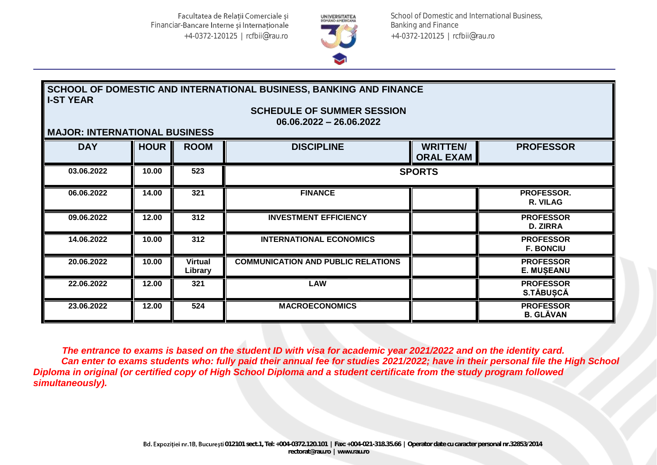

School of Domestic and International Business, Banking and Finance +4-0372-120125 | rcfbii@rau.ro

# **SCHOOL OF DOMESTIC AND INTERNATIONAL BUSINESS, BANKING AND FINANCE I-ST YEAR**

**SCHEDULE OF SUMMER SESSION 06.06.2022 – 26.06.2022**

### **MAJOR: INTERNATIONAL BUSINESS**

| MAGORI INTERNATIONAL BOOMLOO |             |                           |                                           |                                     |                                       |  |
|------------------------------|-------------|---------------------------|-------------------------------------------|-------------------------------------|---------------------------------------|--|
| <b>DAY</b>                   | <b>HOUR</b> | <b>ROOM</b>               | <b>DISCIPLINE</b>                         | <b>WRITTEN/</b><br><b>ORAL EXAM</b> | <b>PROFESSOR</b>                      |  |
| 03.06.2022                   | 10.00       | 523                       | <b>SPORTS</b>                             |                                     |                                       |  |
| 06.06.2022                   | 14.00       | 321                       | <b>FINANCE</b>                            |                                     | PROFESSOR.<br>R. VILAG                |  |
| 09.06.2022                   | 12.00       | 312                       | <b>INVESTMENT EFFICIENCY</b>              |                                     | <b>PROFESSOR</b><br><b>D. ZIRRA</b>   |  |
| 14.06.2022                   | 10.00       | 312                       | <b>INTERNATIONAL ECONOMICS</b>            |                                     | <b>PROFESSOR</b><br><b>F. BONCIU</b>  |  |
| 20.06.2022                   | 10.00       | <b>Virtual</b><br>Library | <b>COMMUNICATION AND PUBLIC RELATIONS</b> |                                     | <b>PROFESSOR</b><br><b>E. MUŞEANU</b> |  |
| 22.06.2022                   | 12.00       | 321                       | <b>LAW</b>                                |                                     | <b>PROFESSOR</b><br><b>S.TÄBUSCĂ</b>  |  |
| 23.06.2022                   | 12.00       | 524                       | <b>MACROECONOMICS</b>                     |                                     | <b>PROFESSOR</b><br><b>B. GLĂVAN</b>  |  |

 *The entrance to exams is based on the student ID with visa for academic year 2021/2022 and on the identity card. Can enter to exams students who: fully paid their annual fee for studies 2021/2022; have in their personal file the High School Diploma in original (or certified copy of High School Diploma and a student certificate from the study program followed simultaneously).*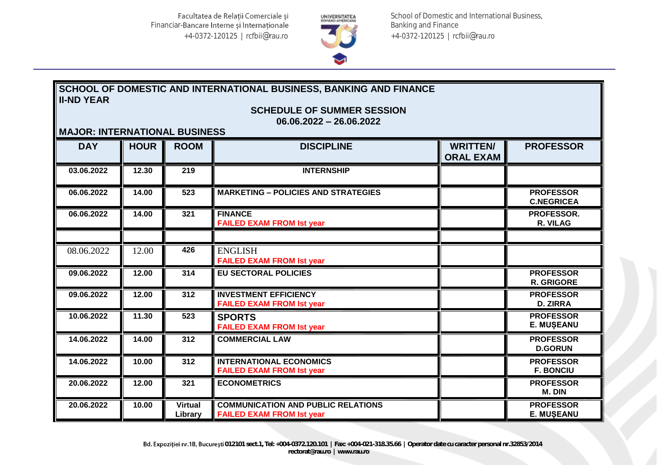

School of Domestic and International Business, Banking and Finance +4-0372-120125 | rcfbii@rau.ro

## **SCHOOL OF DOMESTIC AND INTERNATIONAL BUSINESS, BANKING AND FINANCE II-ND YEAR**

**SCHEDULE OF SUMMER SESSION**

**06.06.2022 – 26.06.2022**

| <b>MAJOR: INTERNATIONAL BUSINESS</b> |             |                           |                                                                               |                                     |                                       |  |
|--------------------------------------|-------------|---------------------------|-------------------------------------------------------------------------------|-------------------------------------|---------------------------------------|--|
| <b>DAY</b>                           | <b>HOUR</b> | <b>ROOM</b>               | <b>DISCIPLINE</b>                                                             | <b>WRITTEN/</b><br><b>ORAL EXAM</b> | <b>PROFESSOR</b>                      |  |
| 03.06.2022                           | 12.30       | 219                       | <b>INTERNSHIP</b>                                                             |                                     |                                       |  |
| 06.06.2022                           | 14.00       | 523                       | <b>MARKETING - POLICIES AND STRATEGIES</b>                                    |                                     | <b>PROFESSOR</b><br><b>C.NEGRICEA</b> |  |
| 06.06.2022                           | 14.00       | 321                       | <b>FINANCE</b><br><b>FAILED EXAM FROM Ist year</b>                            |                                     | PROFESSOR.<br>R. VILAG                |  |
| 08.06.2022                           | 12.00       | 426                       | <b>ENGLISH</b>                                                                |                                     |                                       |  |
|                                      |             |                           | <b>FAILED EXAM FROM Ist year</b>                                              |                                     |                                       |  |
| 09.06.2022                           | 12.00       | 314                       | <b>EU SECTORAL POLICIES</b>                                                   |                                     | <b>PROFESSOR</b><br><b>R. GRIGORE</b> |  |
| 09.06.2022                           | 12.00       | 312                       | <b>INVESTMENT EFFICIENCY</b><br><b>FAILED EXAM FROM Ist year</b>              |                                     | <b>PROFESSOR</b><br><b>D. ZIRRA</b>   |  |
| 10.06.2022                           | 11.30       | 523                       | <b>SPORTS</b><br><b>FAILED EXAM FROM Ist year</b>                             |                                     | <b>PROFESSOR</b><br><b>E. MUŞEANU</b> |  |
| 14.06.2022                           | 14.00       | 312                       | <b>COMMERCIAL LAW</b>                                                         |                                     | <b>PROFESSOR</b><br><b>D.GORUN</b>    |  |
| 14.06.2022                           | 10.00       | 312                       | <b>INTERNATIONAL ECONOMICS</b><br><b>FAILED EXAM FROM Ist year</b>            |                                     | <b>PROFESSOR</b><br><b>F. BONCIU</b>  |  |
| 20.06.2022                           | 12.00       | 321                       | <b>ECONOMETRICS</b>                                                           |                                     | <b>PROFESSOR</b><br>M. DIN            |  |
| 20.06.2022                           | 10.00       | <b>Virtual</b><br>Library | <b>COMMUNICATION AND PUBLIC RELATIONS</b><br><b>FAILED EXAM FROM Ist year</b> |                                     | <b>PROFESSOR</b><br><b>E. MUŞEANU</b> |  |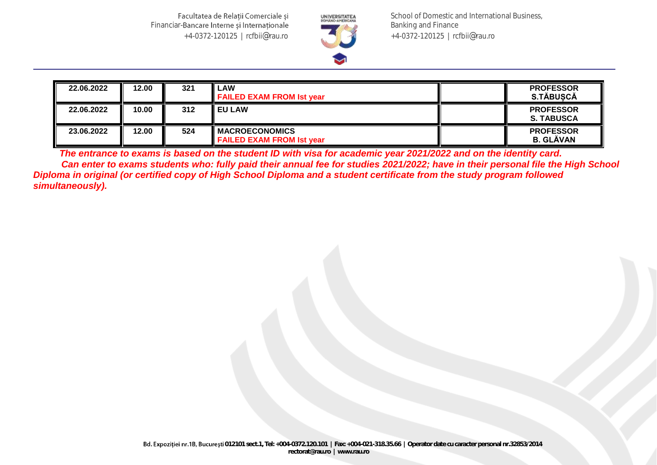Facultatea de Relații Comerciale și Financiar-Bancare Interne și Internaționale +4-0372-120125 | rcfbii@rau.ro



School of Domestic and International Business, Banking and Finance +4-0372-120125 | rcfbii@rau.ro

| 22.06.2022 | 12.00 | 321 | LAW<br><b>FAILED EXAM FROM Ist year</b>                   | <b>PROFESSOR</b><br>S.TĂBUSCĂ         |
|------------|-------|-----|-----------------------------------------------------------|---------------------------------------|
| 22.06.2022 | 10.00 | 312 | <b>I EU LAW</b>                                           | <b>PROFESSOR</b><br><b>S. TABUSCA</b> |
| 23.06.2022 | 12.00 | 524 | <b>MACROECONOMICS</b><br><b>FAILED EXAM FROM Ist year</b> | <b>PROFESSOR</b><br><b>B. GLÀVAN</b>  |

 *The entrance to exams is based on the student ID with visa for academic year 2021/2022 and on the identity card. Can enter to exams students who: fully paid their annual fee for studies 2021/2022; have in their personal file the High School Diploma in original (or certified copy of High School Diploma and a student certificate from the study program followed simultaneously).*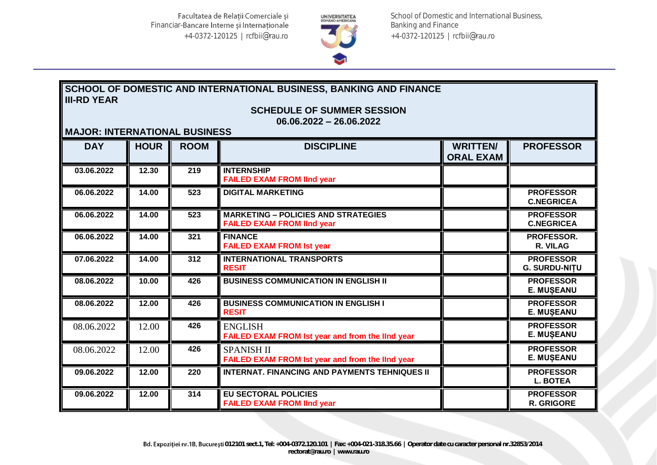

School of Domestic and International Business, Banking and Finance +4-0372-120125 | rcfbii@rau.ro

## **SCHOOL OF DOMESTIC AND INTERNATIONAL BUSINESS, BANKING AND FINANCE III-RD YEAR**

**SCHEDULE OF SUMMER SESSION**

**06.06.2022 – 26.06.2022**

### **MAJOR: INTERNATIONAL BUSINESS**

| <b>MAJOR: INTERNATIONAL BUSINESS</b> |             |             |                                                                                 |                                     |                                          |  |
|--------------------------------------|-------------|-------------|---------------------------------------------------------------------------------|-------------------------------------|------------------------------------------|--|
| <b>DAY</b>                           | <b>HOUR</b> | <b>ROOM</b> | <b>DISCIPLINE</b>                                                               | <b>WRITTEN/</b><br><b>ORAL EXAM</b> | <b>PROFESSOR</b>                         |  |
| 03.06.2022                           | 12.30       | 219         | <b>INTERNSHIP</b><br><b>FAILED EXAM FROM lind year</b>                          |                                     |                                          |  |
| 06.06.2022                           | 14.00       | 523         | <b>DIGITAL MARKETING</b>                                                        |                                     | <b>PROFESSOR</b><br><b>C.NEGRICEA</b>    |  |
| 06.06.2022                           | 14.00       | 523         | <b>MARKETING - POLICIES AND STRATEGIES</b><br><b>FAILED EXAM FROM IInd year</b> |                                     | <b>PROFESSOR</b><br><b>C.NEGRICEA</b>    |  |
| 06.06.2022                           | 14.00       | 321         | <b>FINANCE</b><br><b>FAILED EXAM FROM Ist year</b>                              |                                     | PROFESSOR.<br>R. VILAG                   |  |
| 07.06.2022                           | 14.00       | 312         | <b>INTERNATIONAL TRANSPORTS</b><br><b>RESIT</b>                                 |                                     | <b>PROFESSOR</b><br><b>G. SURDU-NITU</b> |  |
| 08.06.2022                           | 10.00       | 426         | <b>BUSINESS COMMUNICATION IN ENGLISH II</b>                                     |                                     | <b>PROFESSOR</b><br><b>E. MUŞEANU</b>    |  |
| 08.06.2022                           | 12.00       | 426         | <b>BUSINESS COMMUNICATION IN ENGLISH I</b><br><b>RESIT</b>                      |                                     | <b>PROFESSOR</b><br><b>E. MUŞEANU</b>    |  |
| 08.06.2022                           | 12.00       | 426         | <b>ENGLISH</b><br>FAILED EXAM FROM Ist year and from the lind year              |                                     | <b>PROFESSOR</b><br>E. MUȘEANU           |  |
| 08.06.2022                           | 12.00       | 426         | <b>SPANISH II</b><br>FAILED EXAM FROM Ist year and from the lind year           |                                     | <b>PROFESSOR</b><br><b>E. MUȘEANU</b>    |  |
| 09.06.2022                           | 12.00       | 220         | <b>INTERNAT, FINANCING AND PAYMENTS TEHNIQUES II</b>                            |                                     | <b>PROFESSOR</b><br><b>L. BOTEA</b>      |  |
| 09.06.2022                           | 12.00       | 314         | <b>EU SECTORAL POLICIES</b><br><b>FAILED EXAM FROM lind year</b>                |                                     | <b>PROFESSOR</b><br><b>R. GRIGORE</b>    |  |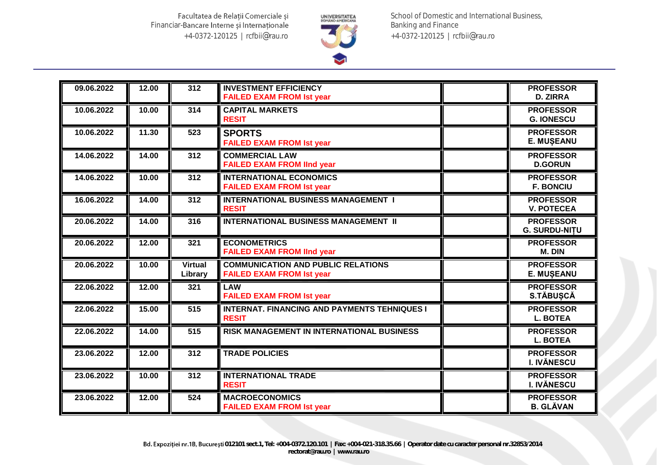Facultatea de Relații Comerciale și Financiar-Bancare Interne și Internaționale +4-0372-120125 | rcfbii@rau.ro



School of Domestic and International Business, Banking and Finance +4-0372-120125 | rcfbii@rau.ro

| 09.06.2022 | 12.00 | 312                       | <b>INVESTMENT EFFICIENCY</b><br><b>FAILED EXAM FROM Ist year</b>              | <b>PROFESSOR</b><br><b>D. ZIRRA</b>      |
|------------|-------|---------------------------|-------------------------------------------------------------------------------|------------------------------------------|
| 10.06.2022 | 10.00 | 314                       | <b>CAPITAL MARKETS</b><br><b>RESIT</b>                                        | <b>PROFESSOR</b><br><b>G. IONESCU</b>    |
| 10.06.2022 | 11.30 | 523                       | <b>SPORTS</b><br><b>FAILED EXAM FROM Ist year</b>                             | <b>PROFESSOR</b><br><b>E. MUŞEANU</b>    |
| 14.06.2022 | 14.00 | 312                       | <b>COMMERCIAL LAW</b><br><b>FAILED EXAM FROM lind year</b>                    | <b>PROFESSOR</b><br><b>D.GORUN</b>       |
| 14.06.2022 | 10.00 | 312                       | <b>INTERNATIONAL ECONOMICS</b><br><b>FAILED EXAM FROM Ist year</b>            | <b>PROFESSOR</b><br><b>F. BONCIU</b>     |
| 16.06.2022 | 14.00 | 312                       | <b>INTERNATIONAL BUSINESS MANAGEMENT I</b><br><b>RESIT</b>                    | <b>PROFESSOR</b><br><b>V. POTECEA</b>    |
| 20.06.2022 | 14.00 | 316                       | <b>INTERNATIONAL BUSINESS MANAGEMENT II</b>                                   | <b>PROFESSOR</b><br><b>G. SURDU-NITU</b> |
| 20.06.2022 | 12.00 | 321                       | <b>ECONOMETRICS</b><br><b>FAILED EXAM FROM lind year</b>                      | <b>PROFESSOR</b><br>M. DIN               |
| 20.06.2022 | 10.00 | <b>Virtual</b><br>Library | <b>COMMUNICATION AND PUBLIC RELATIONS</b><br><b>FAILED EXAM FROM Ist year</b> | <b>PROFESSOR</b><br><b>E. MUSEANU</b>    |
| 22.06.2022 | 12.00 | 321                       | <b>LAW</b><br><b>FAILED EXAM FROM Ist year</b>                                | <b>PROFESSOR</b><br><b>S.TÄBUSCĂ</b>     |
| 22.06.2022 | 15.00 | 515                       | <b>INTERNAT. FINANCING AND PAYMENTS TEHNIQUES I</b><br><b>RESIT</b>           | <b>PROFESSOR</b><br><b>L. BOTEA</b>      |
| 22.06.2022 | 14.00 | 515                       | RISK MANAGEMENT IN INTERNATIONAL BUSINESS                                     | <b>PROFESSOR</b><br><b>L. BOTEA</b>      |
| 23.06.2022 | 12.00 | 312                       | <b>TRADE POLICIES</b>                                                         | <b>PROFESSOR</b><br><b>I. IVĂNESCU</b>   |
| 23.06.2022 | 10.00 | 312                       | <b>INTERNATIONAL TRADE</b><br><b>RESIT</b>                                    | <b>PROFESSOR</b><br><b>I. IVĂNESCU</b>   |
| 23.06.2022 | 12.00 | 524                       | <b>MACROECONOMICS</b><br><b>FAILED EXAM FROM Ist year</b>                     | <b>PROFESSOR</b><br><b>B. GLĂVAN</b>     |